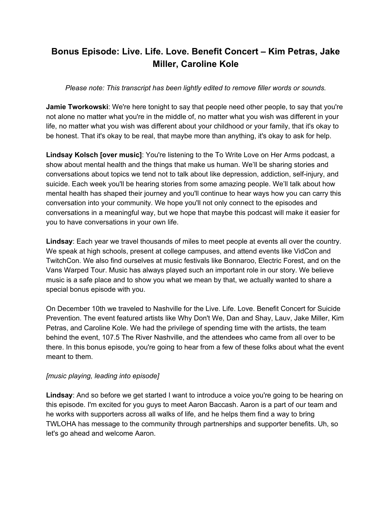# **Bonus Episode: Live. Life. Love. Benefit Concert – Kim Petras, Jake Miller, Caroline Kole**

## *Please note: This transcript has been lightly edited to remove filler words or sounds.*

**Jamie Tworkowski**: We're here tonight to say that people need other people, to say that you're not alone no matter what you're in the middle of, no matter what you wish was different in your life, no matter what you wish was different about your childhood or your family, that it's okay to be honest. That it's okay to be real, that maybe more than anything, it's okay to ask for help.

**Lindsay Kolsch [over music]**: You're listening to the To Write Love on Her Arms podcast, a show about mental health and the things that make us human. We'll be sharing stories and conversations about topics we tend not to talk about like depression, addiction, self-injury, and suicide. Each week you'll be hearing stories from some amazing people. We'll talk about how mental health has shaped their journey and you'll continue to hear ways how you can carry this conversation into your community. We hope you'll not only connect to the episodes and conversations in a meaningful way, but we hope that maybe this podcast will make it easier for you to have conversations in your own life.

**Lindsay**: Each year we travel thousands of miles to meet people at events all over the country. We speak at high schools, present at college campuses, and attend events like VidCon and TwitchCon. We also find ourselves at music festivals like Bonnaroo, Electric Forest, and on the Vans Warped Tour. Music has always played such an important role in our story. We believe music is a safe place and to show you what we mean by that, we actually wanted to share a special bonus episode with you.

On December 10th we traveled to Nashville for the Live. Life. Love. Benefit Concert for Suicide Prevention. The event featured artists like Why Don't We, Dan and Shay, Lauv, Jake Miller, Kim Petras, and Caroline Kole. We had the privilege of spending time with the artists, the team behind the event, 107.5 The River Nashville, and the attendees who came from all over to be there. In this bonus episode, you're going to hear from a few of these folks about what the event meant to them.

## *[music playing, leading into episode]*

**Lindsay**: And so before we get started I want to introduce a voice you're going to be hearing on this episode. I'm excited for you guys to meet Aaron Baccash. Aaron is a part of our team and he works with supporters across all walks of life, and he helps them find a way to bring TWLOHA has message to the community through partnerships and supporter benefits. Uh, so let's go ahead and welcome Aaron.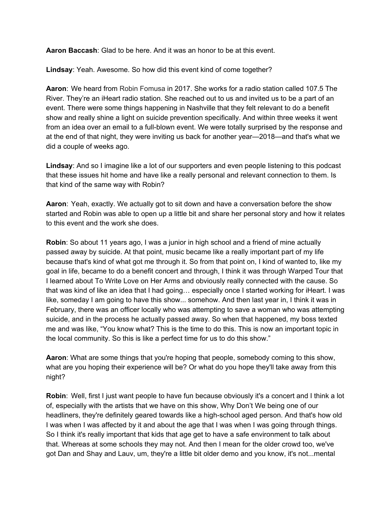**Aaron Baccash**: Glad to be here. And it was an honor to be at this event.

**Lindsay**: Yeah. Awesome. So how did this event kind of come together?

**Aaron**: We heard from Robin Fomusa in 2017. She works for a radio station called 107.5 The River. They're an iHeart radio station. She reached out to us and invited us to be a part of an event. There were some things happening in Nashville that they felt relevant to do a benefit show and really shine a light on suicide prevention specifically. And within three weeks it went from an idea over an email to a full-blown event. We were totally surprised by the response and at the end of that night, they were inviting us back for another year—2018—and that's what we did a couple of weeks ago.

**Lindsay**: And so I imagine like a lot of our supporters and even people listening to this podcast that these issues hit home and have like a really personal and relevant connection to them. Is that kind of the same way with Robin?

**Aaron**: Yeah, exactly. We actually got to sit down and have a conversation before the show started and Robin was able to open up a little bit and share her personal story and how it relates to this event and the work she does.

**Robin**: So about 11 years ago, I was a junior in high school and a friend of mine actually passed away by suicide. At that point, music became like a really important part of my life because that's kind of what got me through it. So from that point on, I kind of wanted to, like my goal in life, became to do a benefit concert and through, I think it was through Warped Tour that I learned about To Write Love on Her Arms and obviously really connected with the cause. So that was kind of like an idea that I had going… especially once I started working for iHeart. I was like, someday I am going to have this show... somehow. And then last year in, I think it was in February, there was an officer locally who was attempting to save a woman who was attempting suicide, and in the process he actually passed away. So when that happened, my boss texted me and was like, "You know what? This is the time to do this. This is now an important topic in the local community. So this is like a perfect time for us to do this show."

**Aaron**: What are some things that you're hoping that people, somebody coming to this show, what are you hoping their experience will be? Or what do you hope they'll take away from this night?

**Robin**: Well, first I just want people to have fun because obviously it's a concert and I think a lot of, especially with the artists that we have on this show, Why Don't We being one of our headliners, they're definitely geared towards like a high-school aged person. And that's how old I was when I was affected by it and about the age that I was when I was going through things. So I think it's really important that kids that age get to have a safe environment to talk about that. Whereas at some schools they may not. And then I mean for the older crowd too, we've got Dan and Shay and Lauv, um, they're a little bit older demo and you know, it's not...mental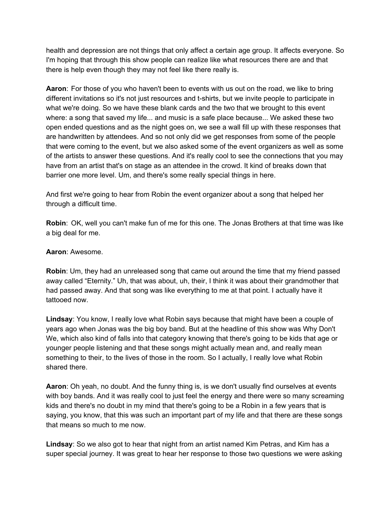health and depression are not things that only affect a certain age group. It affects everyone. So I'm hoping that through this show people can realize like what resources there are and that there is help even though they may not feel like there really is.

**Aaron**: For those of you who haven't been to events with us out on the road, we like to bring different invitations so it's not just resources and t-shirts, but we invite people to participate in what we're doing. So we have these blank cards and the two that we brought to this event where: a song that saved my life... and music is a safe place because... We asked these two open ended questions and as the night goes on, we see a wall fill up with these responses that are handwritten by attendees. And so not only did we get responses from some of the people that were coming to the event, but we also asked some of the event organizers as well as some of the artists to answer these questions. And it's really cool to see the connections that you may have from an artist that's on stage as an attendee in the crowd. It kind of breaks down that barrier one more level. Um, and there's some really special things in here.

And first we're going to hear from Robin the event organizer about a song that helped her through a difficult time.

**Robin**: OK, well you can't make fun of me for this one. The Jonas Brothers at that time was like a big deal for me.

### **Aaron**: Awesome.

**Robin**: Um, they had an unreleased song that came out around the time that my friend passed away called "Eternity." Uh, that was about, uh, their, I think it was about their grandmother that had passed away. And that song was like everything to me at that point. I actually have it tattooed now.

**Lindsay**: You know, I really love what Robin says because that might have been a couple of years ago when Jonas was the big boy band. But at the headline of this show was Why Don't We, which also kind of falls into that category knowing that there's going to be kids that age or younger people listening and that these songs might actually mean and, and really mean something to their, to the lives of those in the room. So I actually, I really love what Robin shared there.

**Aaron**: Oh yeah, no doubt. And the funny thing is, is we don't usually find ourselves at events with boy bands. And it was really cool to just feel the energy and there were so many screaming kids and there's no doubt in my mind that there's going to be a Robin in a few years that is saying, you know, that this was such an important part of my life and that there are these songs that means so much to me now.

**Lindsay**: So we also got to hear that night from an artist named Kim Petras, and Kim has a super special journey. It was great to hear her response to those two questions we were asking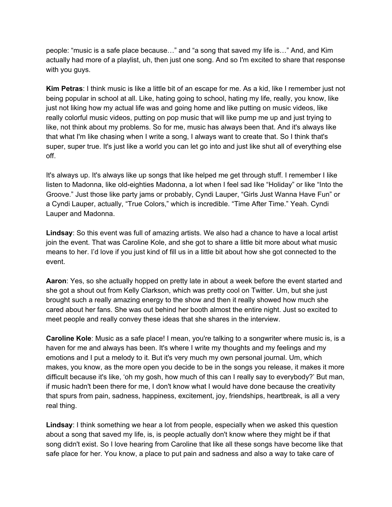people: "music is a safe place because…" and "a song that saved my life is…" And, and Kim actually had more of a playlist, uh, then just one song. And so I'm excited to share that response with you guys.

**Kim Petras**: I think music is like a little bit of an escape for me. As a kid, like I remember just not being popular in school at all. Like, hating going to school, hating my life, really, you know, like just not liking how my actual life was and going home and like putting on music videos, like really colorful music videos, putting on pop music that will like pump me up and just trying to like, not think about my problems. So for me, music has always been that. And it's always like that what I'm like chasing when I write a song, I always want to create that. So I think that's super, super true. It's just like a world you can let go into and just like shut all of everything else off.

It's always up. It's always like up songs that like helped me get through stuff. I remember I like listen to Madonna, like old-eighties Madonna, a lot when I feel sad like "Holiday" or like "Into the Groove." Just those like party jams or probably, Cyndi Lauper, "Girls Just Wanna Have Fun" or a Cyndi Lauper, actually, "True Colors," which is incredible. "Time After Time." Yeah. Cyndi Lauper and Madonna.

**Lindsay**: So this event was full of amazing artists. We also had a chance to have a local artist join the event. That was Caroline Kole, and she got to share a little bit more about what music means to her. I'd love if you just kind of fill us in a little bit about how she got connected to the event.

**Aaron**: Yes, so she actually hopped on pretty late in about a week before the event started and she got a shout out from Kelly Clarkson, which was pretty cool on Twitter. Um, but she just brought such a really amazing energy to the show and then it really showed how much she cared about her fans. She was out behind her booth almost the entire night. Just so excited to meet people and really convey these ideas that she shares in the interview.

**Caroline Kole**: Music as a safe place! I mean, you're talking to a songwriter where music is, is a haven for me and always has been. It's where I write my thoughts and my feelings and my emotions and I put a melody to it. But it's very much my own personal journal. Um, which makes, you know, as the more open you decide to be in the songs you release, it makes it more difficult because it's like, 'oh my gosh, how much of this can I really say to everybody?' But man, if music hadn't been there for me, I don't know what I would have done because the creativity that spurs from pain, sadness, happiness, excitement, joy, friendships, heartbreak, is all a very real thing.

**Lindsay**: I think something we hear a lot from people, especially when we asked this question about a song that saved my life, is, is people actually don't know where they might be if that song didn't exist. So I love hearing from Caroline that like all these songs have become like that safe place for her. You know, a place to put pain and sadness and also a way to take care of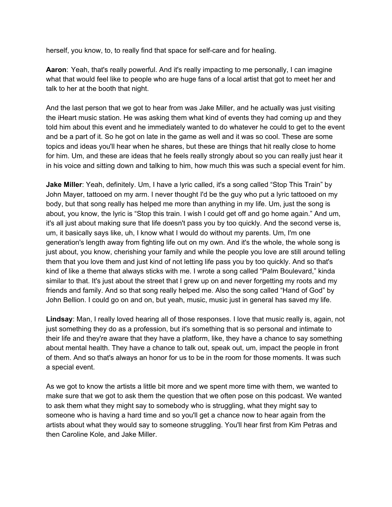herself, you know, to, to really find that space for self-care and for healing.

**Aaron**: Yeah, that's really powerful. And it's really impacting to me personally, I can imagine what that would feel like to people who are huge fans of a local artist that got to meet her and talk to her at the booth that night.

And the last person that we got to hear from was Jake Miller, and he actually was just visiting the iHeart music station. He was asking them what kind of events they had coming up and they told him about this event and he immediately wanted to do whatever he could to get to the event and be a part of it. So he got on late in the game as well and it was so cool. These are some topics and ideas you'll hear when he shares, but these are things that hit really close to home for him. Um, and these are ideas that he feels really strongly about so you can really just hear it in his voice and sitting down and talking to him, how much this was such a special event for him.

**Jake Miller**: Yeah, definitely. Um, I have a lyric called, it's a song called "Stop This Train" by John Mayer, tattooed on my arm. I never thought I'd be the guy who put a lyric tattooed on my body, but that song really has helped me more than anything in my life. Um, just the song is about, you know, the lyric is "Stop this train. I wish I could get off and go home again." And um, it's all just about making sure that life doesn't pass you by too quickly. And the second verse is, um, it basically says like, uh, I know what I would do without my parents. Um, I'm one generation's length away from fighting life out on my own. And it's the whole, the whole song is just about, you know, cherishing your family and while the people you love are still around telling them that you love them and just kind of not letting life pass you by too quickly. And so that's kind of like a theme that always sticks with me. I wrote a song called "Palm Boulevard," kinda similar to that. It's just about the street that I grew up on and never forgetting my roots and my friends and family. And so that song really helped me. Also the song called "Hand of God" by John Bellion. I could go on and on, but yeah, music, music just in general has saved my life.

**Lindsay**: Man, I really loved hearing all of those responses. I love that music really is, again, not just something they do as a profession, but it's something that is so personal and intimate to their life and they're aware that they have a platform, like, they have a chance to say something about mental health. They have a chance to talk out, speak out, um, impact the people in front of them. And so that's always an honor for us to be in the room for those moments. It was such a special event.

As we got to know the artists a little bit more and we spent more time with them, we wanted to make sure that we got to ask them the question that we often pose on this podcast. We wanted to ask them what they might say to somebody who is struggling, what they might say to someone who is having a hard time and so you'll get a chance now to hear again from the artists about what they would say to someone struggling. You'll hear first from Kim Petras and then Caroline Kole, and Jake Miller.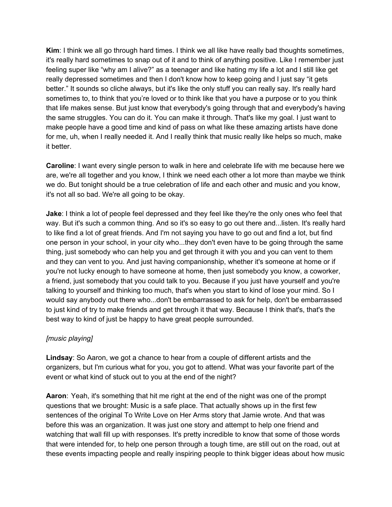**Kim**: I think we all go through hard times. I think we all like have really bad thoughts sometimes, it's really hard sometimes to snap out of it and to think of anything positive. Like I remember just feeling super like "why am I alive?" as a teenager and like hating my life a lot and I still like get really depressed sometimes and then I don't know how to keep going and I just say "it gets better." It sounds so cliche always, but it's like the only stuff you can really say. It's really hard sometimes to, to think that you're loved or to think like that you have a purpose or to you think that life makes sense. But just know that everybody's going through that and everybody's having the same struggles. You can do it. You can make it through. That's like my goal. I just want to make people have a good time and kind of pass on what like these amazing artists have done for me, uh, when I really needed it. And I really think that music really like helps so much, make it better.

**Caroline**: I want every single person to walk in here and celebrate life with me because here we are, we're all together and you know, I think we need each other a lot more than maybe we think we do. But tonight should be a true celebration of life and each other and music and you know, it's not all so bad. We're all going to be okay.

**Jake**: I think a lot of people feel depressed and they feel like they're the only ones who feel that way. But it's such a common thing. And so it's so easy to go out there and...listen. It's really hard to like find a lot of great friends. And I'm not saying you have to go out and find a lot, but find one person in your school, in your city who...they don't even have to be going through the same thing, just somebody who can help you and get through it with you and you can vent to them and they can vent to you. And just having companionship, whether it's someone at home or if you're not lucky enough to have someone at home, then just somebody you know, a coworker, a friend, just somebody that you could talk to you. Because if you just have yourself and you're talking to yourself and thinking too much, that's when you start to kind of lose your mind. So I would say anybody out there who...don't be embarrassed to ask for help, don't be embarrassed to just kind of try to make friends and get through it that way. Because I think that's, that's the best way to kind of just be happy to have great people surrounded.

## *[music playing]*

**Lindsay**: So Aaron, we got a chance to hear from a couple of different artists and the organizers, but I'm curious what for you, you got to attend. What was your favorite part of the event or what kind of stuck out to you at the end of the night?

**Aaron**: Yeah, it's something that hit me right at the end of the night was one of the prompt questions that we brought: Music is a safe place. That actually shows up in the first few sentences of the original To Write Love on Her Arms story that Jamie wrote. And that was before this was an organization. It was just one story and attempt to help one friend and watching that wall fill up with responses. It's pretty incredible to know that some of those words that were intended for, to help one person through a tough time, are still out on the road, out at these events impacting people and really inspiring people to think bigger ideas about how music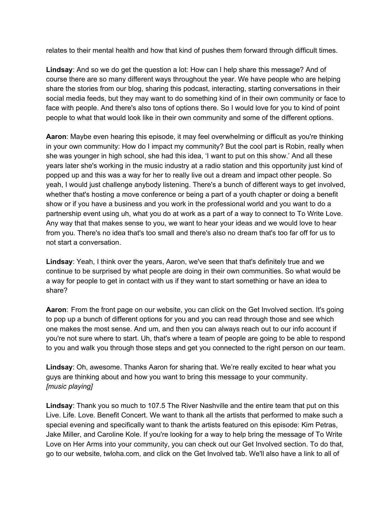relates to their mental health and how that kind of pushes them forward through difficult times.

**Lindsay**: And so we do get the question a lot: How can I help share this message? And of course there are so many different ways throughout the year. We have people who are helping share the stories from our blog, sharing this podcast, interacting, starting conversations in their social media feeds, but they may want to do something kind of in their own community or face to face with people. And there's also tons of options there. So I would love for you to kind of point people to what that would look like in their own community and some of the different options.

**Aaron**: Maybe even hearing this episode, it may feel overwhelming or difficult as you're thinking in your own community: How do I impact my community? But the cool part is Robin, really when she was younger in high school, she had this idea, 'I want to put on this show.' And all these years later she's working in the music industry at a radio station and this opportunity just kind of popped up and this was a way for her to really live out a dream and impact other people. So yeah, I would just challenge anybody listening. There's a bunch of different ways to get involved, whether that's hosting a move conference or being a part of a youth chapter or doing a benefit show or if you have a business and you work in the professional world and you want to do a partnership event using uh, what you do at work as a part of a way to connect to To Write Love. Any way that that makes sense to you, we want to hear your ideas and we would love to hear from you. There's no idea that's too small and there's also no dream that's too far off for us to not start a conversation.

**Lindsay**: Yeah, I think over the years, Aaron, we've seen that that's definitely true and we continue to be surprised by what people are doing in their own communities. So what would be a way for people to get in contact with us if they want to start something or have an idea to share?

**Aaron**: From the front page on our website, you can click on the Get Involved section. It's going to pop up a bunch of different options for you and you can read through those and see which one makes the most sense. And um, and then you can always reach out to our info account if you're not sure where to start. Uh, that's where a team of people are going to be able to respond to you and walk you through those steps and get you connected to the right person on our team.

**Lindsay**: Oh, awesome. Thanks Aaron for sharing that. We're really excited to hear what you guys are thinking about and how you want to bring this message to your community. *[music playing]*

**Lindsay**: Thank you so much to 107.5 The River Nashville and the entire team that put on this Live. Life. Love. Benefit Concert. We want to thank all the artists that performed to make such a special evening and specifically want to thank the artists featured on this episode: Kim Petras, Jake Miller, and Caroline Kole. If you're looking for a way to help bring the message of To Write Love on Her Arms into your community, you can check out our Get Involved section. To do that, go to our website, twloha.com, and click on the Get Involved tab. We'll also have a link to all of